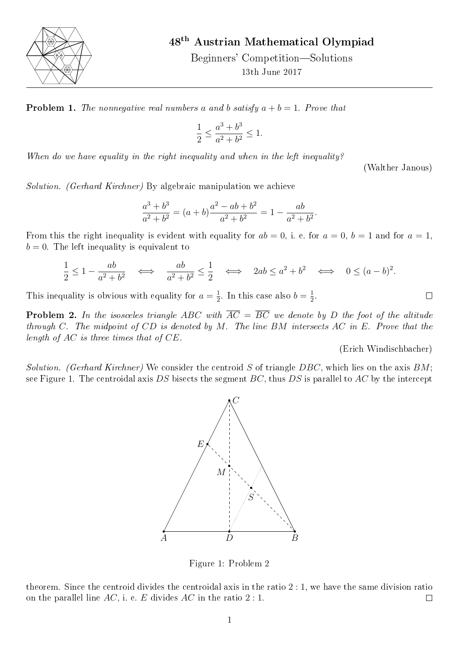

48th Austrian Mathematical Olympiad

Beginners' Competition—Solutions 13th June 2017

**Problem 1.** The nonnegative real numbers a and b satisfy  $a + b = 1$ . Prove that

$$
\frac{1}{2} \le \frac{a^3 + b^3}{a^2 + b^2} \le 1.
$$

When do we have equality in the right inequality and when in the left inequality?

(Walther Janous)

Solution. (Gerhard Kirchner) By algebraic manipulation we achieve

$$
\frac{a^3 + b^3}{a^2 + b^2} = (a+b)\frac{a^2 - ab + b^2}{a^2 + b^2} = 1 - \frac{ab}{a^2 + b^2}.
$$

From this the right inequality is evident with equality for  $ab = 0$ , i. e. for  $a = 0$ ,  $b = 1$  and for  $a = 1$ ,  $b = 0$ . The left inequality is equivalent to

$$
\frac{1}{2} \le 1 - \frac{ab}{a^2 + b^2} \quad \Longleftrightarrow \quad \frac{ab}{a^2 + b^2} \le \frac{1}{2} \quad \Longleftrightarrow \quad 2ab \le a^2 + b^2 \quad \Longleftrightarrow \quad 0 \le (a - b)^2.
$$

This inequality is obvious with equality for  $a=\frac{1}{2}$  $\frac{1}{2}$ . In this case also  $b = \frac{1}{2}$  $\frac{1}{2}$ .

**Problem 2.** In the isosceles triangle ABC with  $\overline{AC} = \overline{BC}$  we denote by D the foot of the altitude through C. The midpoint of  $CD$  is denoted by M. The line BM intersects AC in E. Prove that the length of AC is three times that of CE.

(Erich Windischbacher)

 $\Box$ 

<span id="page-0-0"></span>Solution. (Gerhard Kirchner) We consider the centroid S of triangle DBC, which lies on the axis BM; see Figure [1.](#page-0-0) The centroidal axis DS bisects the segment  $BC$ , thus DS is parallel to AC by the intercept



Figure 1: Problem 2

theorem. Since the centroid divides the centroidal axis in the ratio 2 : 1, we have the same division ratio on the parallel line AC, i. e. E divides AC in the ratio  $2:1$ .  $\Box$